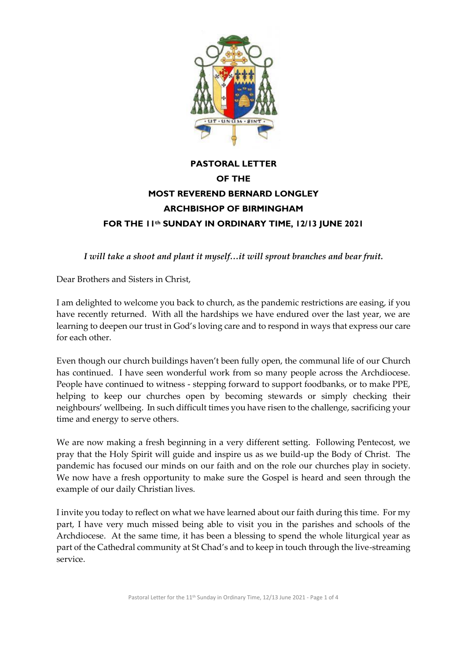

## **PASTORAL LETTER OF THE MOST REVEREND BERNARD LONGLEY ARCHBISHOP OF BIRMINGHAM FOR THE 11th SUNDAY IN ORDINARY TIME, 12/13 JUNE 2021**

*I will take a shoot and plant it myself…it will sprout branches and bear fruit.*

Dear Brothers and Sisters in Christ,

I am delighted to welcome you back to church, as the pandemic restrictions are easing, if you have recently returned. With all the hardships we have endured over the last year, we are learning to deepen our trust in God's loving care and to respond in ways that express our care for each other.

Even though our church buildings haven't been fully open, the communal life of our Church has continued. I have seen wonderful work from so many people across the Archdiocese. People have continued to witness - stepping forward to support foodbanks, or to make PPE, helping to keep our churches open by becoming stewards or simply checking their neighbours' wellbeing. In such difficult times you have risen to the challenge, sacrificing your time and energy to serve others.

We are now making a fresh beginning in a very different setting. Following Pentecost, we pray that the Holy Spirit will guide and inspire us as we build-up the Body of Christ. The pandemic has focused our minds on our faith and on the role our churches play in society. We now have a fresh opportunity to make sure the Gospel is heard and seen through the example of our daily Christian lives.

I invite you today to reflect on what we have learned about our faith during this time. For my part, I have very much missed being able to visit you in the parishes and schools of the Archdiocese. At the same time, it has been a blessing to spend the whole liturgical year as part of the Cathedral community at St Chad's and to keep in touch through the live-streaming service.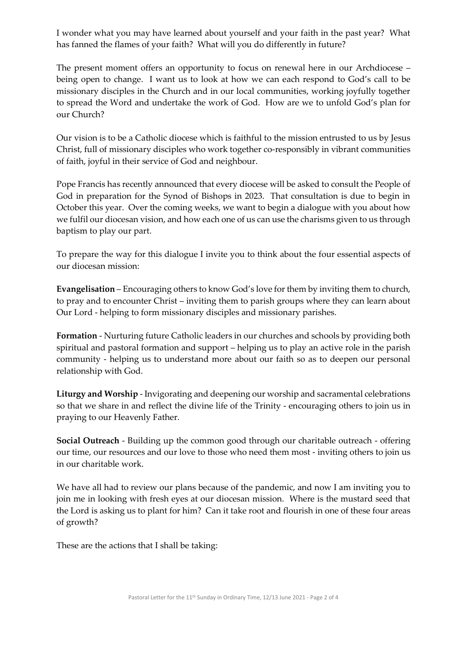I wonder what you may have learned about yourself and your faith in the past year? What has fanned the flames of your faith? What will you do differently in future?

The present moment offers an opportunity to focus on renewal here in our Archdiocese – being open to change. I want us to look at how we can each respond to God's call to be missionary disciples in the Church and in our local communities, working joyfully together to spread the Word and undertake the work of God. How are we to unfold God's plan for our Church?

Our vision is to be a Catholic diocese which is faithful to the mission entrusted to us by Jesus Christ, full of missionary disciples who work together co-responsibly in vibrant communities of faith, joyful in their service of God and neighbour.

Pope Francis has recently announced that every diocese will be asked to consult the People of God in preparation for the Synod of Bishops in 2023. That consultation is due to begin in October this year. Over the coming weeks, we want to begin a dialogue with you about how we fulfil our diocesan vision, and how each one of us can use the charisms given to us through baptism to play our part.

To prepare the way for this dialogue I invite you to think about the four essential aspects of our diocesan mission:

**Evangelisation** – Encouraging others to know God's love for them by inviting them to church, to pray and to encounter Christ – inviting them to parish groups where they can learn about Our Lord - helping to form missionary disciples and missionary parishes.

**Formation** - Nurturing future Catholic leaders in our churches and schools by providing both spiritual and pastoral formation and support – helping us to play an active role in the parish community - helping us to understand more about our faith so as to deepen our personal relationship with God.

**Liturgy and Worship** - Invigorating and deepening our worship and sacramental celebrations so that we share in and reflect the divine life of the Trinity - encouraging others to join us in praying to our Heavenly Father.

**Social Outreach** - Building up the common good through our charitable outreach - offering our time, our resources and our love to those who need them most - inviting others to join us in our charitable work.

We have all had to review our plans because of the pandemic, and now I am inviting you to join me in looking with fresh eyes at our diocesan mission. Where is the mustard seed that the Lord is asking us to plant for him? Can it take root and flourish in one of these four areas of growth?

These are the actions that I shall be taking: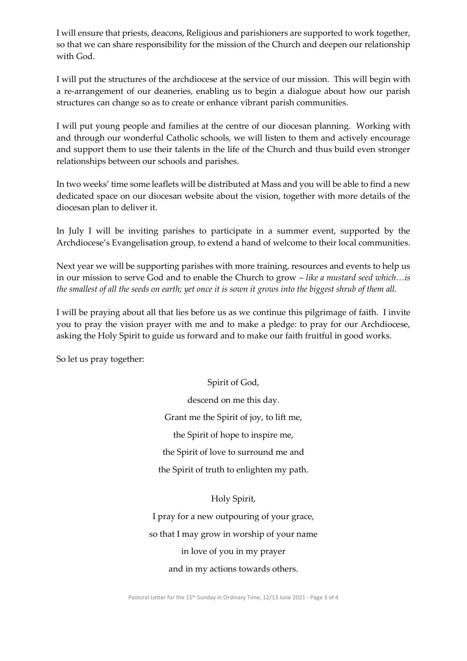I will ensure that priests, deacons, Religious and parishioners are supported to work together, so that we can share responsibility for the mission of the Church and deepen our relationship with God.

I will put the structures of the archdiocese at the service of our mission. This will begin with a re-arrangement of our deaneries, enabling us to begin a dialogue about how our parish structures can change so as to create or enhance vibrant parish communities.

I will put young people and families at the centre of our diocesan planning. Working with and through our wonderful Catholic schools, we will listen to them and actively encourage and support them to use their talents in the life of the Church and thus build even stronger relationships between our schools and parishes.

In two weeks' time some leaflets will be distributed at Mass and you will be able to find a new dedicated space on our diocesan website about the vision, together with more details of the diocesan plan to deliver it.

In July I will be inviting parishes to participate in a summer event, supported by the Archdiocese's Evangelisation group, to extend a hand of welcome to their local communities.

Next year we will be supporting parishes with more training, resources and events to help us in our mission to serve God and to enable the Church to grow – *like a mustard seed which…is the smallest of all the seeds on earth; yet once it is sown it grows into the biggest shrub of them all.*

I will be praying about all that lies before us as we continue this pilgrimage of faith. I invite you to pray the vision prayer with me and to make a pledge: to pray for our Archdiocese, asking the Holy Spirit to guide us forward and to make our faith fruitful in good works.

So let us pray together:

Spirit of God, descend on me this day. Grant me the Spirit of joy, to lift me, the Spirit of hope to inspire me, the Spirit of love to surround me and the Spirit of truth to enlighten my path.

Holy Spirit,

I pray for a new outpouring of your grace, so that I may grow in worship of your name in love of you in my prayer and in my actions towards others.